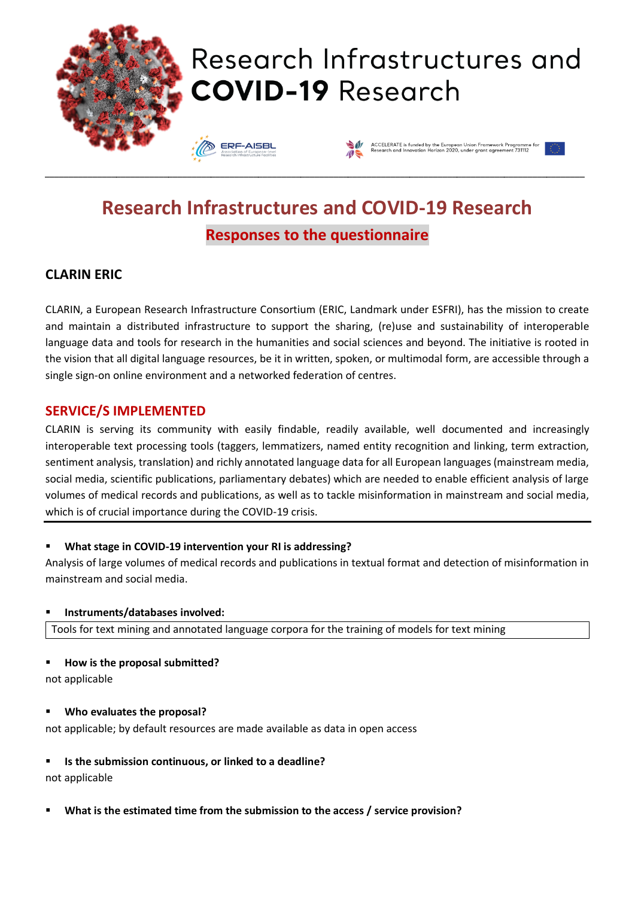

# **Research Infrastructures and COVID-19 Research Responses to the questionnaire**

# **CLARIN ERIC**

CLARIN, a European Research Infrastructure Consortium (ERIC, Landmark under ESFRI), has the mission to create and maintain a distributed infrastructure to support the sharing, (re)use and sustainability of interoperable language data and tools for research in the humanities and social sciences and beyond. The initiative is rooted in the vision that all digital language resources, be it in written, spoken, or multimodal form, are accessible through a single sign-on online environment and a networked federation of centres.

### **SERVICE/S IMPLEMENTED**

CLARIN is serving its community with easily findable, readily available, well documented and increasingly interoperable text processing tools (taggers, lemmatizers, named entity recognition and linking, term extraction, sentiment analysis, translation) and richly annotated language data for all European languages (mainstream media, social media, scientific publications, parliamentary debates) which are needed to enable efficient analysis of large volumes of medical records and publications, as well as to tackle misinformation in mainstream and social media, which is of crucial importance during the COVID-19 crisis.

#### ▪ **What stage in COVID-19 intervention your RI is addressing?**

Analysis of large volumes of medical records and publications in textual format and detection of misinformation in mainstream and social media.

#### ▪ **Instruments/databases involved:**

Tools for text mining and annotated language corpora for the training of models for text mining

#### ▪ **How is the proposal submitted?**

not applicable

#### ▪ **Who evaluates the proposal?**

not applicable; by default resources are made available as data in open access

#### ▪ **Is the submission continuous, or linked to a deadline?**

not applicable

▪ **What is the estimated time from the submission to the access / service provision?**